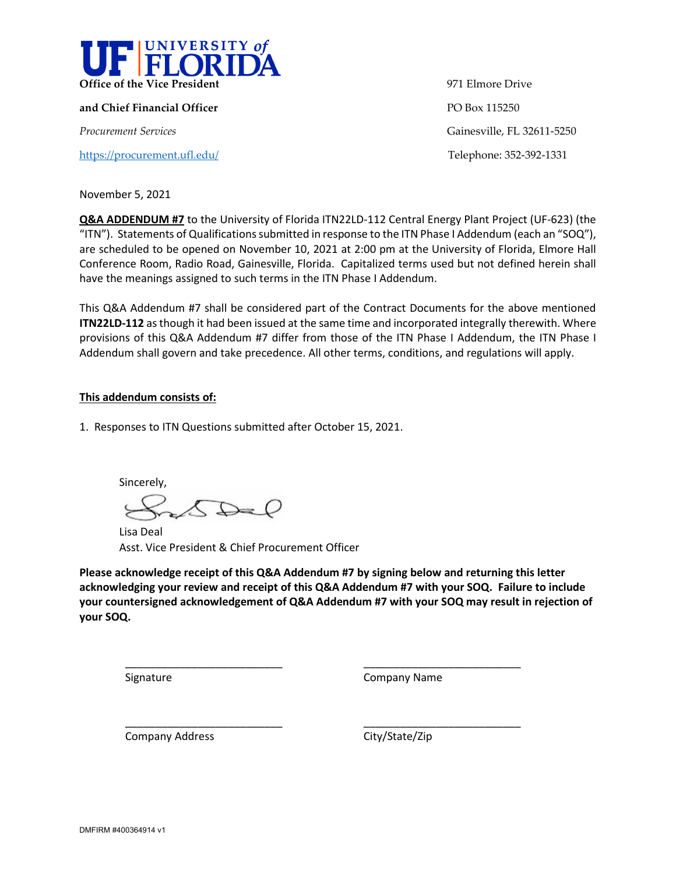

**and Chief Financial Officer PO Box 115250** 

<https://procurement.ufl.edu/>Telephone: 352-392-1331

**Office of the Vice President** 971 Elmore Drive *Procurement Services* Gainesville, FL 32611-5250

November 5, 2021

**Q&A ADDENDUM #7** to the University of Florida ITN22LD-112 Central Energy Plant Project (UF-623) (the "ITN"). Statements of Qualifications submitted in response to the ITN Phase I Addendum (each an "SOQ"), are scheduled to be opened on November 10, 2021 at 2:00 pm at the University of Florida, Elmore Hall Conference Room, Radio Road, Gainesville, Florida. Capitalized terms used but not defined herein shall have the meanings assigned to such terms in the ITN Phase I Addendum.

This Q&A Addendum #7 shall be considered part of the Contract Documents for the above mentioned **ITN22LD-112** as though it had been issued at the same time and incorporated integrally therewith. Where provisions of this Q&A Addendum #7 differ from those of the ITN Phase I Addendum, the ITN Phase I Addendum shall govern and take precedence. All other terms, conditions, and regulations will apply.

## **This addendum consists of:**

1. Responses to ITN Questions submitted after October 15, 2021.

Sincerely,  $\bigcirc$ 

\_\_\_\_\_\_\_\_\_\_\_\_\_\_\_\_\_\_\_\_\_\_\_\_\_\_

\_\_\_\_\_\_\_\_\_\_\_\_\_\_\_\_\_\_\_\_\_\_\_\_\_\_

Lisa Deal Asst. Vice President & Chief Procurement Officer

**Please acknowledge receipt of this Q&A Addendum #7 by signing below and returning this letter acknowledging your review and receipt of this Q&A Addendum #7 with your SOQ. Failure to include your countersigned acknowledgement of Q&A Addendum #7 with your SOQ may result in rejection of your SOQ.**

Signature

Company Name

\_\_\_\_\_\_\_\_\_\_\_\_\_\_\_\_\_\_\_\_\_\_\_\_\_\_

\_\_\_\_\_\_\_\_\_\_\_\_\_\_\_\_\_\_\_\_\_\_\_\_\_\_

Company Address

City/State/Zip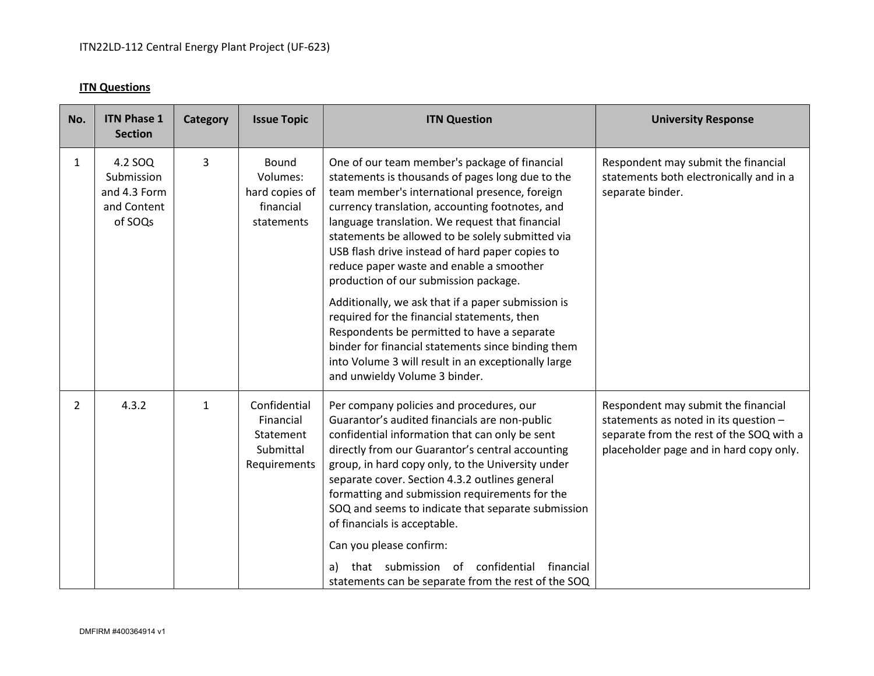## **ITN Questions**

| No.            | <b>Issue Topic</b><br><b>ITN Question</b>                                                                                                                                                                                                                                                                                                                                                                                                                                                                                     | <b>ITN Phase 1</b><br>Category<br><b>Section</b>                     |           | <b>University Response</b>                                                                                                                                          |
|----------------|-------------------------------------------------------------------------------------------------------------------------------------------------------------------------------------------------------------------------------------------------------------------------------------------------------------------------------------------------------------------------------------------------------------------------------------------------------------------------------------------------------------------------------|----------------------------------------------------------------------|-----------|---------------------------------------------------------------------------------------------------------------------------------------------------------------------|
| $\mathbf{1}$   | <b>Bound</b><br>One of our team member's package of financial<br>Volumes:<br>statements is thousands of pages long due to the<br>team member's international presence, foreign<br>hard copies of<br>financial<br>currency translation, accounting footnotes, and<br>language translation. We request that financial<br>statements<br>statements be allowed to be solely submitted via<br>USB flash drive instead of hard paper copies to<br>reduce paper waste and enable a smoother<br>production of our submission package. | 3<br>4.2 SOQ<br>Submission<br>and 4.3 Form<br>and Content<br>of SOQs |           | Respondent may submit the financial<br>statements both electronically and in a<br>separate binder.                                                                  |
|                | Additionally, we ask that if a paper submission is<br>required for the financial statements, then<br>Respondents be permitted to have a separate<br>binder for financial statements since binding them<br>into Volume 3 will result in an exceptionally large<br>and unwieldy Volume 3 binder.                                                                                                                                                                                                                                |                                                                      |           |                                                                                                                                                                     |
| $\overline{2}$ | Confidential<br>Per company policies and procedures, our<br>Guarantor's audited financials are non-public<br>Financial<br>confidential information that can only be sent<br>Statement<br>Submittal<br>directly from our Guarantor's central accounting<br>group, in hard copy only, to the University under<br>Requirements<br>separate cover. Section 4.3.2 outlines general<br>formatting and submission requirements for the<br>SOQ and seems to indicate that separate submission<br>of financials is acceptable.         | 4.3.2<br>$\mathbf{1}$                                                |           | Respondent may submit the financial<br>statements as noted in its question -<br>separate from the rest of the SOQ with a<br>placeholder page and in hard copy only. |
|                | Can you please confirm:<br>that submission of confidential<br>a)                                                                                                                                                                                                                                                                                                                                                                                                                                                              |                                                                      | financial |                                                                                                                                                                     |
|                | statements can be separate from the rest of the SOQ                                                                                                                                                                                                                                                                                                                                                                                                                                                                           |                                                                      |           |                                                                                                                                                                     |